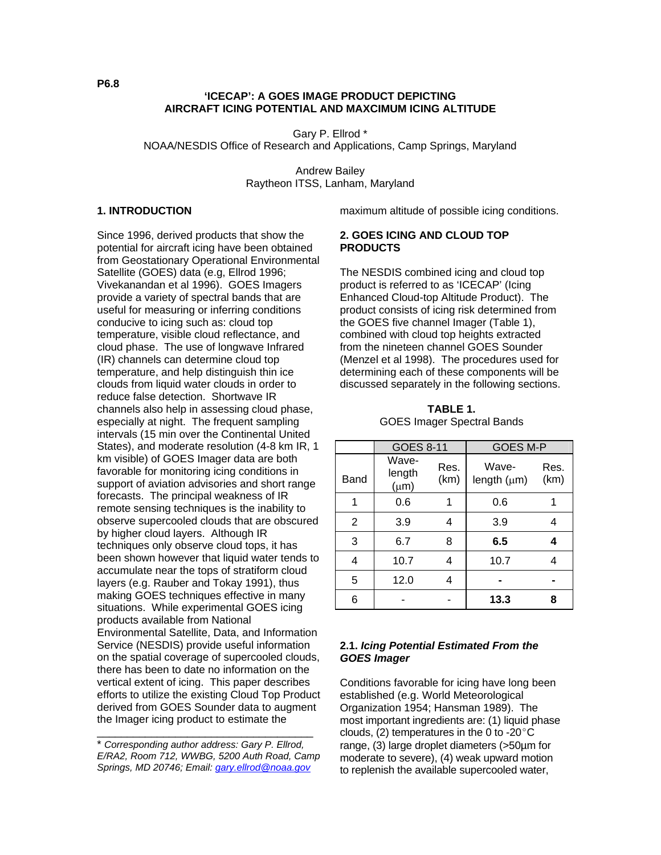### **'ICECAP': A GOES IMAGE PRODUCT DEPICTING AIRCRAFT ICING POTENTIAL AND MAXCIMUM ICING ALTITUDE**

Gary P. Ellrod \* NOAA/NESDIS Office of Research and Applications, Camp Springs, Maryland

> Andrew Bailey Raytheon ITSS, Lanham, Maryland

#### **1. INTRODUCTION**

Since 1996, derived products that show the potential for aircraft icing have been obtained from Geostationary Operational Environmental Satellite (GOES) data (e.g, Ellrod 1996; Vivekanandan et al 1996). GOES Imagers provide a variety of spectral bands that are useful for measuring or inferring conditions conducive to icing such as: cloud top temperature, visible cloud reflectance, and cloud phase. The use of longwave Infrared (IR) channels can determine cloud top temperature, and help distinguish thin ice clouds from liquid water clouds in order to reduce false detection. Shortwave IR channels also help in assessing cloud phase, especially at night. The frequent sampling intervals (15 min over the Continental United States), and moderate resolution (4-8 km IR, 1 km visible) of GOES Imager data are both favorable for monitoring icing conditions in support of aviation advisories and short range forecasts. The principal weakness of IR remote sensing techniques is the inability to observe supercooled clouds that are obscured by higher cloud layers. Although IR techniques only observe cloud tops, it has been shown however that liquid water tends to accumulate near the tops of stratiform cloud layers (e.g. Rauber and Tokay 1991), thus making GOES techniques effective in many situations. While experimental GOES icing products available from National Environmental Satellite, Data, and Information Service (NESDIS) provide useful information on the spatial coverage of supercooled clouds, there has been to date no information on the vertical extent of icing. This paper describes efforts to utilize the existing Cloud Top Product derived from GOES Sounder data to augment the Imager icing product to estimate the

\_\_\_\_\_\_\_\_\_\_\_\_\_\_\_\_\_\_\_\_\_\_\_\_\_\_\_\_\_\_\_\_\_\_\_\_

maximum altitude of possible icing conditions.

#### **2. GOES ICING AND CLOUD TOP PRODUCTS**

The NESDIS combined icing and cloud top product is referred to as 'ICECAP' (Icing Enhanced Cloud-top Altitude Product). The product consists of icing risk determined from the GOES five channel Imager (Table 1), combined with cloud top heights extracted from the nineteen channel GOES Sounder (Menzel et al 1998). The procedures used for determining each of these components will be discussed separately in the following sections.

|      | <b>GOES 8-11</b>             |              | <b>GOES M-P</b>           |              |
|------|------------------------------|--------------|---------------------------|--------------|
| Band | Wave-<br>length<br>$(\mu m)$ | Res.<br>(km) | Wave-<br>length $(\mu m)$ | Res.<br>(km) |
| 1    | 0.6                          | 1            | 0.6                       |              |
| 2    | 3.9                          | 4            | 3.9                       | 4            |
| 3    | 6.7                          | 8            | 6.5                       | 4            |
| 4    | 10.7                         | 4            | 10.7                      | 4            |
| 5    | 12.0                         | 4            |                           |              |
| 6    |                              |              | 13.3                      | 8            |

**TABLE 1.**  GOES Imager Spectral Bands

## **2.1.** *Icing Potential Estimated From the GOES Imager*

Conditions favorable for icing have long been established (e.g. World Meteorological Organization 1954; Hansman 1989). The most important ingredients are: (1) liquid phase clouds, (2) temperatures in the 0 to -20 $^{\circ}$ C range, (3) large droplet diameters (>50µm for moderate to severe), (4) weak upward motion to replenish the available supercooled water,

**P6.8** 

<sup>\*</sup> *Corresponding author address: Gary P. Ellrod, E/RA2, Room 712, WWBG, 5200 Auth Road, Camp Springs, MD 20746; Email: [gary.ellrod@noaa.gov](mailto:gary.ellrod@noaa.gov)*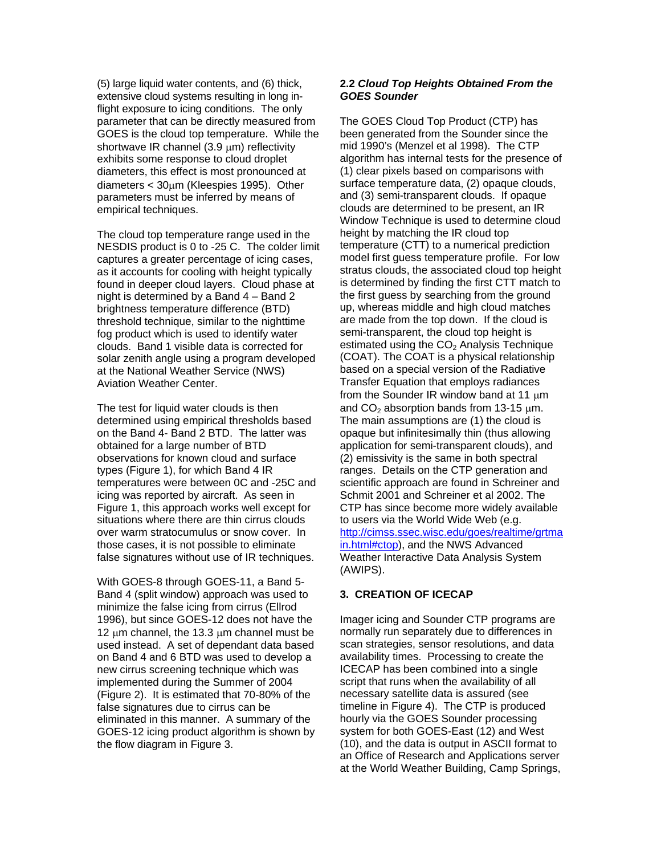(5) large liquid water contents, and (6) thick, extensive cloud systems resulting in long inflight exposure to icing conditions. The only parameter that can be directly measured from GOES is the cloud top temperature. While the shortwave IR channel (3.9  $\mu$ m) reflectivity exhibits some response to cloud droplet diameters, this effect is most pronounced at diameters < 30µm (Kleespies 1995). Other parameters must be inferred by means of empirical techniques.

The cloud top temperature range used in the NESDIS product is 0 to -25 C. The colder limit captures a greater percentage of icing cases, as it accounts for cooling with height typically found in deeper cloud layers. Cloud phase at night is determined by a Band 4 – Band 2 brightness temperature difference (BTD) threshold technique, similar to the nighttime fog product which is used to identify water clouds. Band 1 visible data is corrected for solar zenith angle using a program developed at the National Weather Service (NWS) Aviation Weather Center.

The test for liquid water clouds is then determined using empirical thresholds based on the Band 4- Band 2 BTD. The latter was obtained for a large number of BTD observations for known cloud and surface types (Figure 1), for which Band 4 IR temperatures were between 0C and -25C and icing was reported by aircraft. As seen in Figure 1, this approach works well except for situations where there are thin cirrus clouds over warm stratocumulus or snow cover. In those cases, it is not possible to eliminate false signatures without use of IR techniques.

With GOES-8 through GOES-11, a Band 5- Band 4 (split window) approach was used to minimize the false icing from cirrus (Ellrod 1996), but since GOES-12 does not have the 12 um channel, the 13.3 um channel must be used instead. A set of dependant data based on Band 4 and 6 BTD was used to develop a new cirrus screening technique which was implemented during the Summer of 2004 (Figure 2). It is estimated that 70-80% of the false signatures due to cirrus can be eliminated in this manner. A summary of the GOES-12 icing product algorithm is shown by the flow diagram in Figure 3.

### **2.2** *Cloud Top Heights Obtained From the GOES Sounder*

The GOES Cloud Top Product (CTP) has been generated from the Sounder since the mid 1990's (Menzel et al 1998). The CTP algorithm has internal tests for the presence of (1) clear pixels based on comparisons with surface temperature data, (2) opaque clouds, and (3) semi-transparent clouds. If opaque clouds are determined to be present, an IR Window Technique is used to determine cloud height by matching the IR cloud top temperature (CTT) to a numerical prediction model first guess temperature profile. For low stratus clouds, the associated cloud top height is determined by finding the first CTT match to the first guess by searching from the ground up, whereas middle and high cloud matches are made from the top down. If the cloud is semi-transparent, the cloud top height is estimated using the  $CO<sub>2</sub>$  Analysis Technique (COAT). The COAT is a physical relationship based on a special version of the Radiative Transfer Equation that employs radiances from the Sounder IR window band at 11  $\mu$ m and  $CO<sub>2</sub>$  absorption bands from 13-15  $\mu$ m. The main assumptions are (1) the cloud is opaque but infinitesimally thin (thus allowing application for semi-transparent clouds), and (2) emissivity is the same in both spectral ranges. Details on the CTP generation and scientific approach are found in Schreiner and Schmit 2001 and Schreiner et al 2002. The CTP has since become more widely available to users via the World Wide Web (e.g. http://cimss.ssec.wisc.edu/goes/realtime/grtma in.html#ctop), and the NWS Advanced Weather Interactive Data Analysis System (AWIPS).

### **3. CREATION OF ICECAP**

Imager icing and Sounder CTP programs are normally run separately due to differences in scan strategies, sensor resolutions, and data availability times. Processing to create the ICECAP has been combined into a single script that runs when the availability of all necessary satellite data is assured (see timeline in Figure 4). The CTP is produced hourly via the GOES Sounder processing system for both GOES-East (12) and West (10), and the data is output in ASCII format to an Office of Research and Applications server at the World Weather Building, Camp Springs,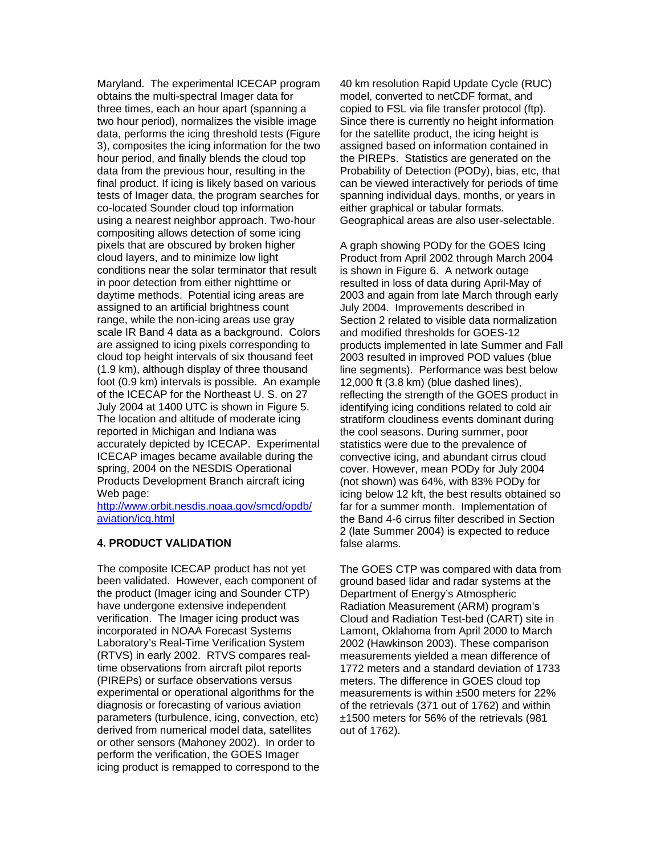Maryland. The experimental ICECAP program obtains the multi-spectral Imager data for three times, each an hour apart (spanning a two hour period), normalizes the visible image data, performs the icing threshold tests (Figure 3), composites the icing information for the two hour period, and finally blends the cloud top data from the previous hour, resulting in the final product. If icing is likely based on various tests of Imager data, the program searches for co-located Sounder cloud top information using a nearest neighbor approach. Two-hour compositing allows detection of some icing pixels that are obscured by broken higher cloud layers, and to minimize low light conditions near the solar terminator that result in poor detection from either nighttime or daytime methods. Potential icing areas are assigned to an artificial brightness count range, while the non-icing areas use gray scale IR Band 4 data as a background. Colors are assigned to icing pixels corresponding to cloud top height intervals of six thousand feet (1.9 km), although display of three thousand foot (0.9 km) intervals is possible. An example of the ICECAP for the Northeast U. S. on 27 July 2004 at 1400 UTC is shown in Figure 5. The location and altitude of moderate icing reported in Michigan and Indiana was accurately depicted by ICECAP. Experimental ICECAP images became available during the spring, 2004 on the NESDIS Operational Products Development Branch aircraft icing Web page:

[http://www.orbit.nesdis.noaa.gov/smcd/opdb/](http://www.orbit.nesdis.noaa.gov/smcd/opdb/aviation/icg.html) [aviation/icg.html](http://www.orbit.nesdis.noaa.gov/smcd/opdb/aviation/icg.html) 

### **4. PRODUCT VALIDATION**

The composite ICECAP product has not yet been validated. However, each component of the product (Imager icing and Sounder CTP) have undergone extensive independent verification. The Imager icing product was incorporated in NOAA Forecast Systems Laboratory's Real-Time Verification System (RTVS) in early 2002. RTVS compares realtime observations from aircraft pilot reports (PIREPs) or surface observations versus experimental or operational algorithms for the diagnosis or forecasting of various aviation parameters (turbulence, icing, convection, etc) derived from numerical model data, satellites or other sensors (Mahoney 2002). In order to perform the verification, the GOES Imager icing product is remapped to correspond to the 40 km resolution Rapid Update Cycle (RUC) model, converted to netCDF format, and copied to FSL via file transfer protocol (ftp). Since there is currently no height information for the satellite product, the icing height is assigned based on information contained in the PIREPs. Statistics are generated on the Probability of Detection (PODy), bias, etc, that can be viewed interactively for periods of time spanning individual days, months, or years in either graphical or tabular formats. Geographical areas are also user-selectable.

A graph showing PODy for the GOES Icing Product from April 2002 through March 2004 is shown in Figure 6. A network outage resulted in loss of data during April-May of 2003 and again from late March through early July 2004. Improvements described in Section 2 related to visible data normalization and modified thresholds for GOES-12 products implemented in late Summer and Fall 2003 resulted in improved POD values (blue line segments). Performance was best below 12,000 ft (3.8 km) (blue dashed lines), reflecting the strength of the GOES product in identifying icing conditions related to cold air stratiform cloudiness events dominant during the cool seasons. During summer, poor statistics were due to the prevalence of convective icing, and abundant cirrus cloud cover. However, mean PODy for July 2004 (not shown) was 64%, with 83% PODy for icing below 12 kft, the best results obtained so far for a summer month. Implementation of the Band 4-6 cirrus filter described in Section 2 (late Summer 2004) is expected to reduce false alarms.

The GOES CTP was compared with data from ground based lidar and radar systems at the Department of Energy's Atmospheric Radiation Measurement (ARM) program's Cloud and Radiation Test-bed (CART) site in Lamont, Oklahoma from April 2000 to March 2002 (Hawkinson 2003). These comparison measurements yielded a mean difference of 1772 meters and a standard deviation of 1733 meters. The difference in GOES cloud top measurements is within ±500 meters for 22% of the retrievals (371 out of 1762) and within ±1500 meters for 56% of the retrievals (981 out of 1762).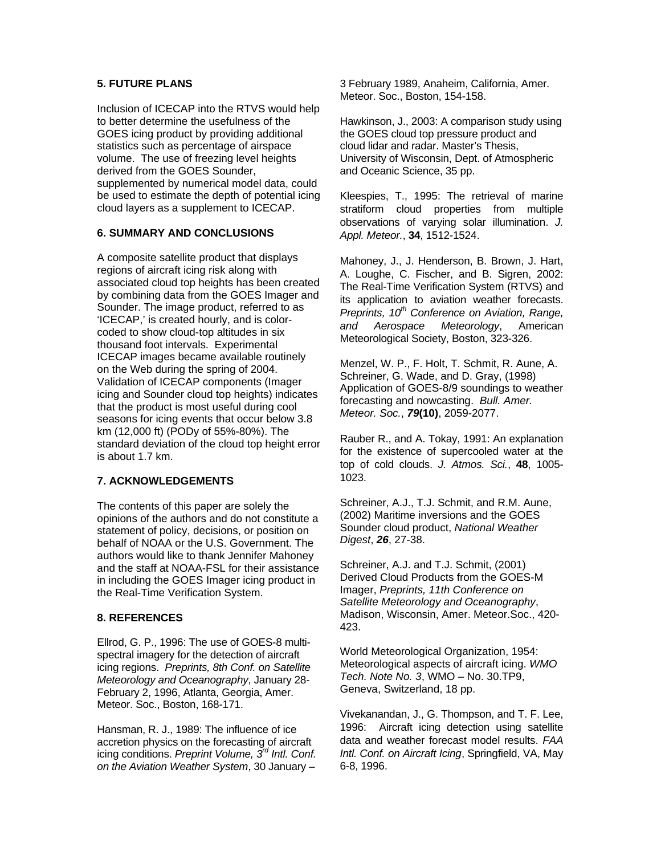# **5. FUTURE PLANS**

Inclusion of ICECAP into the RTVS would help to better determine the usefulness of the GOES icing product by providing additional statistics such as percentage of airspace volume. The use of freezing level heights derived from the GOES Sounder, supplemented by numerical model data, could be used to estimate the depth of potential icing cloud layers as a supplement to ICECAP.

# **6. SUMMARY AND CONCLUSIONS**

A composite satellite product that displays regions of aircraft icing risk along with associated cloud top heights has been created by combining data from the GOES Imager and Sounder. The image product, referred to as 'ICECAP,' is created hourly, and is colorcoded to show cloud-top altitudes in six thousand foot intervals. Experimental ICECAP images became available routinely on the Web during the spring of 2004. Validation of ICECAP components (Imager icing and Sounder cloud top heights) indicates that the product is most useful during cool seasons for icing events that occur below 3.8 km (12,000 ft) (PODy of 55%-80%). The standard deviation of the cloud top height error is about 1.7 km.

# **7. ACKNOWLEDGEMENTS**

The contents of this paper are solely the opinions of the authors and do not constitute a statement of policy, decisions, or position on behalf of NOAA or the U.S. Government. The authors would like to thank Jennifer Mahoney and the staff at NOAA-FSL for their assistance in including the GOES Imager icing product in the Real-Time Verification System.

### **8. REFERENCES**

Ellrod, G. P., 1996: The use of GOES-8 multispectral imagery for the detection of aircraft icing regions. *Preprints, 8th Conf. on Satellite Meteorology and Oceanography*, January 28- February 2, 1996, Atlanta, Georgia, Amer. Meteor. Soc., Boston, 168-171.

Hansman, R. J., 1989: The influence of ice accretion physics on the forecasting of aircraft icing conditions. *Preprint Volume, 3rd Intl. Conf. on the Aviation Weather System*, 30 January –

3 February 1989, Anaheim, California, Amer. Meteor. Soc., Boston, 154-158.

Hawkinson, J., 2003: A comparison study using the GOES cloud top pressure product and cloud lidar and radar. Master's Thesis, University of Wisconsin, Dept. of Atmospheric and Oceanic Science, 35 pp.

Kleespies, T., 1995: The retrieval of marine stratiform cloud properties from multiple observations of varying solar illumination. *J. Appl. Meteor.*, **34**, 1512-1524.

Mahoney, J., J. Henderson, B. Brown, J. Hart, A. Loughe, C. Fischer, and B. Sigren, 2002: The Real-Time Verification System (RTVS) and its application to aviation weather forecasts. *Preprints, 10<sup>th</sup> Conference on Aviation, Range, and Aerospace Meteorology*, American Meteorological Society, Boston, 323-326.

Menzel, W. P., F. Holt, T. Schmit, R. Aune, A. Schreiner, G. Wade, and D. Gray, (1998) Application of GOES-8/9 soundings to weather forecasting and nowcasting. *Bull. Amer. Meteor. Soc.*, *79***(10)**, 2059-2077.

Rauber R., and A. Tokay, 1991: An explanation for the existence of supercooled water at the top of cold clouds. *J. Atmos. Sci.*, **48**, 1005- 1023.

Schreiner, A.J., T.J. Schmit, and R.M. Aune, (2002) Maritime inversions and the GOES Sounder cloud product, *National Weather Digest*, *26*, 27-38.

Schreiner, A.J. and T.J. Schmit, (2001) Derived Cloud Products from the GOES-M Imager, *Preprints, 11th Conference on Satellite Meteorology and Oceanography*, Madison, Wisconsin, Amer. Meteor.Soc., 420- 423.

World Meteorological Organization, 1954: Meteorological aspects of aircraft icing. *WMO Tech. Note No. 3*, WMO – No. 30.TP9, Geneva, Switzerland, 18 pp.

Vivekanandan, J., G. Thompson, and T. F. Lee, 1996: Aircraft icing detection using satellite data and weather forecast model results. *FAA Intl. Conf. on Aircraft Icing*, Springfield, VA, May 6-8, 1996.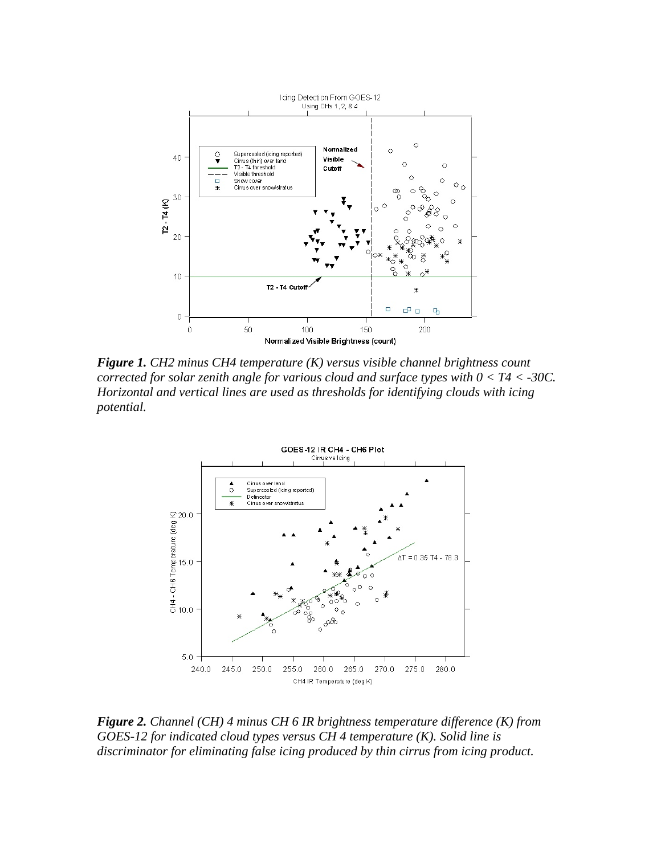

*Figure 1. CH2 minus CH4 temperature (K) versus visible channel brightness count corrected for solar zenith angle for various cloud and surface types with 0 < T4 < -30C. Horizontal and vertical lines are used as thresholds for identifying clouds with icing potential.* 



*Figure 2. Channel (CH) 4 minus CH 6 IR brightness temperature difference (K) from GOES-12 for indicated cloud types versus CH 4 temperature (K). Solid line is discriminator for eliminating false icing produced by thin cirrus from icing product.*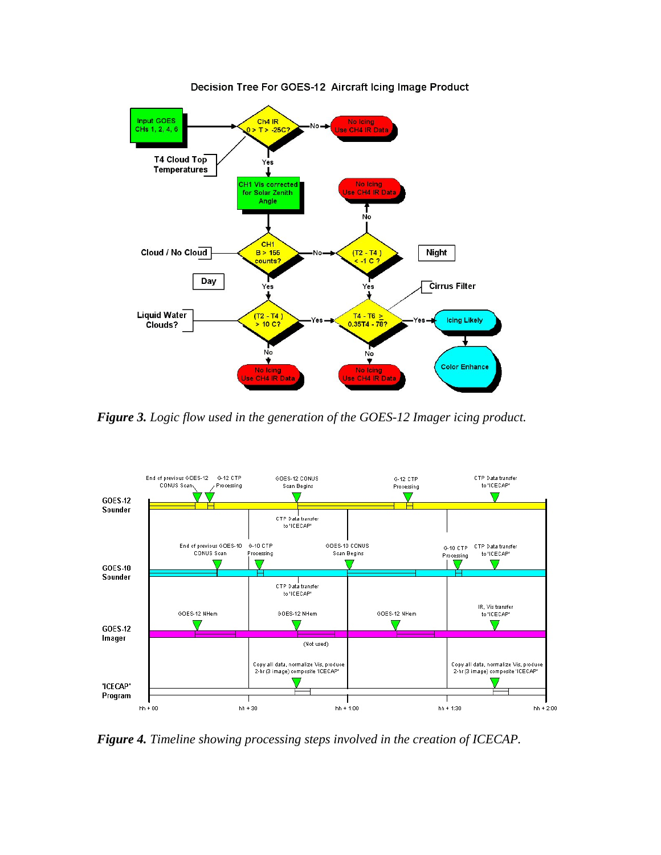

Decision Tree For GOES-12 Aircraft Icing Image Product

*Figure 3. Logic flow used in the generation of the GOES-12 Imager icing product.* 



*Figure 4. Timeline showing processing steps involved in the creation of ICECAP.*